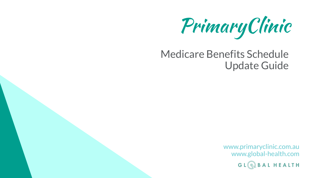PrimaryClinic

## Medicare Benefits Schedule Update Guide

www.primaryclinic.com.au www.global-health.comHEALTH GLG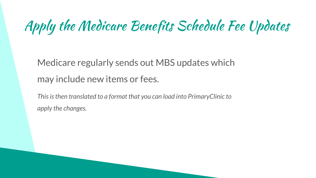# Apply the Medicare Benefits Schedule Fee Updates

Medicare regularly sends out MBS updates which may include new items or fees.

*This is then translated to a format that you can load into PrimaryClinic to apply the changes.*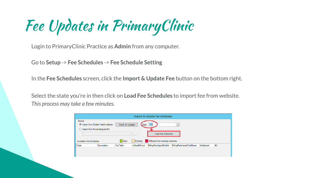Fee Updates in PrimaryClinic

Login to PrimaryClinic Practice as **Admin** from any computer.

Go to **Setup** -> **Fee Schedules** -> **Fee Schedule Setting**

In the **Fee Schedules** screen, click the **Import & Update Fee** button on the bottom right.

Select the state you're in then click on **Load Fee Schedules** to import fee from website. *This process may take a few minutes.* 

| Import & Update Fee Schedules                                                                                                                           |                    |          |              |                           |                                    |                   |   |  |
|---------------------------------------------------------------------------------------------------------------------------------------------------------|--------------------|----------|--------------|---------------------------|------------------------------------|-------------------|---|--|
| Source<br>Import from Global-Health website<br>Check for Updates<br>State<br>VIC<br>٧<br>Import from the existing zip file<br>Load Fee Schedules<br>$-$ |                    |          |              |                           |                                    |                   |   |  |
| New<br>Existing<br>Different from existing schedule<br>Available Fee Schedules                                                                          |                    |          |              |                           |                                    |                   |   |  |
| Code                                                                                                                                                    | <b>Description</b> | FeeTable | IsHealthFund | BillingParticipantFieldId | <b>BillingParticipantFieldName</b> | <b>IsSelected</b> | ▣ |  |
|                                                                                                                                                         |                    |          |              |                           |                                    |                   |   |  |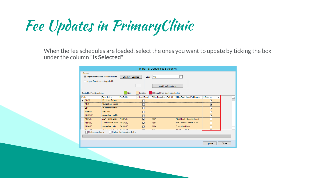Fee Updates in PrimaryClinic

When the fee schedules are loaded, select the ones you want to update by ticking the box under the column "**Is Selected**"

|                                                                         | Import & Update Fee Schedules                                                                                                                                                            |                           |                |                         |                                  |                                    |                         |              |  |
|-------------------------------------------------------------------------|------------------------------------------------------------------------------------------------------------------------------------------------------------------------------------------|---------------------------|----------------|-------------------------|----------------------------------|------------------------------------|-------------------------|--------------|--|
|                                                                         | Source<br>Import from Global-Health website<br><b>VIC</b><br>Check for Updates<br><b>State</b><br>$\vee$<br>$\bigcirc$ Import from the existing zip file<br>Load Fee Schedules<br>$\sim$ |                           |                |                         |                                  |                                    |                         |              |  |
|                                                                         | Existing<br>Different from existing schedule<br>New<br>Available Fee Schedules                                                                                                           |                           |                |                         |                                  |                                    |                         |              |  |
| Code                                                                    |                                                                                                                                                                                          | <b>Description</b>        | FeeTable       | <b>IsHealthFund</b>     | <b>BillingParticipantFieldId</b> | <b>BillingParticipantFieldName</b> | <b>IsSelected</b><br>п  |              |  |
| ьI                                                                      | <b>BBGP</b>                                                                                                                                                                              | Medicare Rebate           |                |                         |                                  |                                    | $\overline{\mathbf{v}}$ |              |  |
|                                                                         | <b>BBO</b>                                                                                                                                                                               | Out-patient Medic         |                |                         |                                  |                                    | $\overline{\mathbf{v}}$ |              |  |
|                                                                         | <b>BBI</b>                                                                                                                                                                               | In-patient Medica         |                |                         |                                  |                                    | $\overline{\mathbf{v}}$ |              |  |
|                                                                         | <b>MBS100</b>                                                                                                                                                                            | <b>MBS100</b>             |                |                         |                                  |                                    | $\overline{\mathbf{v}}$ |              |  |
|                                                                         | <b>AHSAVIC</b>                                                                                                                                                                           | Australian Health         |                | $\overline{\mathbf{v}}$ |                                  |                                    | $\overline{\mathbf{v}}$ |              |  |
|                                                                         | <b>ACAVIC</b>                                                                                                                                                                            | <b>ACA Health Bene</b>    | AHSAVIC        | $\overline{\mathbf{v}}$ | <b>ACA</b>                       | <b>ACA Health Benefits Fund</b>    |                         |              |  |
|                                                                         | <b>AMAVIC</b>                                                                                                                                                                            | The Doctors' Heal AHSAVIC |                | $\overline{\mathbf{v}}$ | AMA                              | The Doctors' Health Fund Li        |                         |              |  |
|                                                                         | <b>AUHVIC</b>                                                                                                                                                                            | Australian Unity          | <b>AHSAVIC</b> | $\overline{\mathbf{v}}$ | <b>AUH</b>                       | <b>Australian Unity</b>            |                         | $\checkmark$ |  |
| 2.7.7.7.7<br>$- - -$<br>Update the item description<br>Update new items |                                                                                                                                                                                          |                           |                |                         |                                  |                                    |                         |              |  |
|                                                                         |                                                                                                                                                                                          |                           |                |                         |                                  |                                    | Update                  | Close        |  |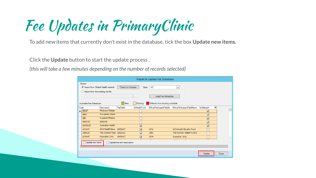Fee Updates in PrimaryClinic

To add new items that currently don't exist in the database, tick the box **Update new items.**

Click the **Update** button to start the update process .

*(this will take a few minutes depending on the number of records selected)*

|      | Import & Update Fee Schedules                                                                                                                                                        |                           |                |                         |                                  |                                    |                         |       |  |
|------|--------------------------------------------------------------------------------------------------------------------------------------------------------------------------------------|---------------------------|----------------|-------------------------|----------------------------------|------------------------------------|-------------------------|-------|--|
|      | Source<br>Import from Global-Health website<br><b>VIC</b><br>Check for Updates<br><b>State</b><br>٧l<br>$\bigcirc$ Import from the existing zip file<br>Load Fee Schedules<br>$\sim$ |                           |                |                         |                                  |                                    |                         |       |  |
|      | Existing<br>Different from existing schedule<br>New<br>Available Fee Schedules                                                                                                       |                           |                |                         |                                  |                                    |                         |       |  |
| Code |                                                                                                                                                                                      | <b>Description</b>        | FeeTable       | <b>IsHealthFund</b>     | <b>BillingParticipantFieldId</b> | <b>BillingParticipantFieldName</b> | ▫<br><b>IsSelected</b>  |       |  |
|      | $\blacktriangleright$ $\Box$ BBGP                                                                                                                                                    | Medicare Rebate           |                |                         |                                  |                                    | $\overline{\mathbf{v}}$ |       |  |
|      | <b>BBO</b>                                                                                                                                                                           | Out-patient Medic         |                |                         |                                  |                                    | $\overline{\mathbf{v}}$ |       |  |
|      | <b>BBI</b>                                                                                                                                                                           | In-patient Medica         |                |                         |                                  |                                    | $\overline{\mathbf{v}}$ |       |  |
|      | <b>MBS100</b>                                                                                                                                                                        | <b>MRS100</b>             |                | Г                       |                                  |                                    | $\overline{\mathbf{v}}$ |       |  |
|      | <b>AHSAVIC</b>                                                                                                                                                                       | <b>Australian Health</b>  |                | $\overline{\mathbf{v}}$ |                                  |                                    | $\overline{\mathbf{v}}$ |       |  |
|      | <b>ACAVIC</b>                                                                                                                                                                        | ACA Health Bene   AHSAVIC |                | $\overline{\mathbf{v}}$ | <b>ACA</b>                       | <b>ACA Health Benefits Fund</b>    |                         |       |  |
|      | <b>AMAVIC</b>                                                                                                                                                                        | The Doctors' Heal AHSAVIC |                | $\overline{\mathbf{v}}$ | <b>AMA</b>                       | The Doctors' Health Fund Li        |                         |       |  |
|      | <b>AUHVIC</b>                                                                                                                                                                        | Australian Unity          | <b>AHSAVIC</b> | $\overline{\mathbf{v}}$ | <b>AUH</b>                       | Australian Unity                   |                         |       |  |
|      | $n + 1$<br>$\overline{1}$<br>----<br>Update the item description<br>Update new items                                                                                                 |                           |                |                         |                                  |                                    |                         |       |  |
|      |                                                                                                                                                                                      |                           |                |                         |                                  |                                    | Update                  | Close |  |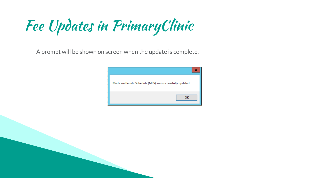Fee Updates in PrimaryClinic

A prompt will be shown on screen when the update is complete.

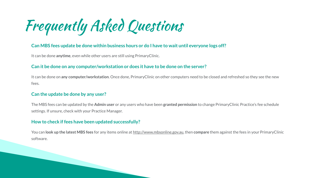Frequently Asked Questions

#### **Can MBS fees update be done within business hours or do I have to wait until everyone logs off?**

It can be done **anytime**, even while other users are still using PrimaryClinic.

#### **Can it be done on any computer/workstation or does it have to be done on the server?**

It can be done on **any computer/workstation**. Once done, PrimaryClinic on other computers need to be closed and refreshed so they see the new fees.

#### **Can the update be done by any user?**

The MBS fees can be updated by the **Admin user** or any users who have been **granted permission** to change PrimaryClinic Practice's fee schedule settings. If unsure, check with your Practice Manager.

#### **How to check if fees have been updated successfully?**

You can **look up the latest MBS fees** for any items online at [http://www.mbsonline.gov.au](http://www.mbsonline.gov.au/), then **compare** them against the fees in your PrimaryClinic software.